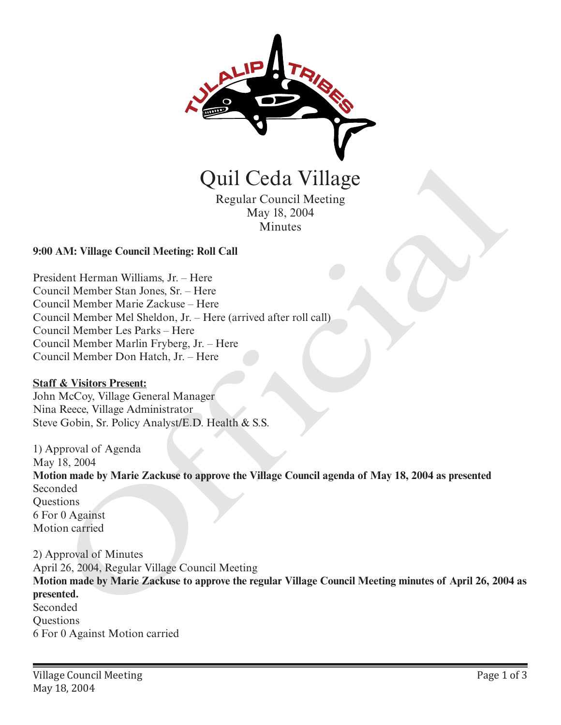

Regular Council Meeting May 18, 2004 Minutes

## **9:00 AM: Village Council Meeting: Roll Call**

President Herman Williams, Jr. – Here Council Member Stan Jones, Sr. – Here Council Member Marie Zackuse – Here Council Member Mel Sheldon, Jr. – Here (arrived after roll call) Council Member Les Parks – Here Council Member Marlin Fryberg, Jr. – Here Council Member Don Hatch, Jr. – Here

## **Staff & Visitors Present:**

John McCoy, Village General Manager Nina Reece, Village Administrator Steve Gobin, Sr. Policy Analyst/E.D. Health & S.S.

1) Approval of Agenda

May 18, 2004 **Motion made by Marie Zackuse to approve the Village Council agenda of May 18, 2004 as presented** Seconded **Ouestions** 6 For 0 Against Motion carried Quil Ceda Village<br>
Regular Council Meeting<br>
May 18, 2004<br>
Minutes<br>
May 18, 2004<br>
Minutes<br>
May 18, 2004<br>
Minutes<br>
May 18, 2004<br>
Minutes<br>
May 18, 2004<br>
Element Member Man Avillage. I-lere<br>
Incil Member Mar Scaliss-Here<br>
Inci

2) Approval of Minutes April 26, 2004, Regular Village Council Meeting **Motion made by Marie Zackuse to approve the regular Village Council Meeting minutes of April 26, 2004 as presented.** Seconded **Ouestions** 6 For 0 Against Motion carried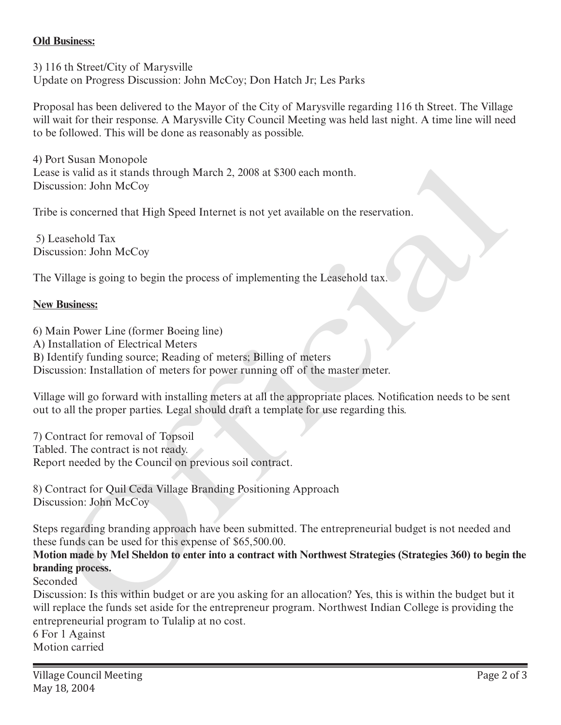## **Old Business:**

3) 116 th Street/City of Marysville Update on Progress Discussion: John McCoy; Don Hatch Jr; Les Parks

Proposal has been delivered to the Mayor of the City of Marysville regarding 116 th Street. The Village will wait for their response. A Marysville City Council Meeting was held last night. A time line will need to be followed. This will be done as reasonably as possible.

4) Port Susan Monopole Lease is valid as it stands through March 2, 2008 at \$300 each month. Discussion: John McCoy

Tribe is concerned that High Speed Internet is not yet available on the reservation.

 5) Leasehold Tax Discussion: John McCoy

The Village is going to begin the process of implementing the Leasehold tax.

## **New Business:**

6) Main Power Line (former Boeing line) A) Installation of Electrical Meters B) Identify funding source; Reading of meters; Billing of meters Discussion: Installation of meters for power running off of the master meter. ri constant *produces*<br>
in the single single March 2, 2008 at \$300 each month.<br>
it is valid as it stands through March 2, 2008 at \$300 each month.<br>
ussion: John McCoy<br>
ussion: John McCoy<br>
ussion: John McCoy<br>
Willage is goi

Village will go forward with installing meters at all the appropriate places. Notification needs to be sent out to all the proper parties. Legal should draft a template for use regarding this.

7) Contract for removal of Topsoil Tabled. The contract is not ready. Report needed by the Council on previous soil contract.

8) Contract for Quil Ceda Village Branding Positioning Approach Discussion: John McCoy

Steps regarding branding approach have been submitted. The entrepreneurial budget is not needed and these funds can be used for this expense of \$65,500.00.

**Motion made by Mel Sheldon to enter into a contract with Northwest Strategies (Strategies 360) to begin the branding process.** 

Seconded

Discussion: Is this within budget or are you asking for an allocation? Yes, this is within the budget but it will replace the funds set aside for the entrepreneur program. Northwest Indian College is providing the entrepreneurial program to Tulalip at no cost.

6 For 1 Against Motion carried